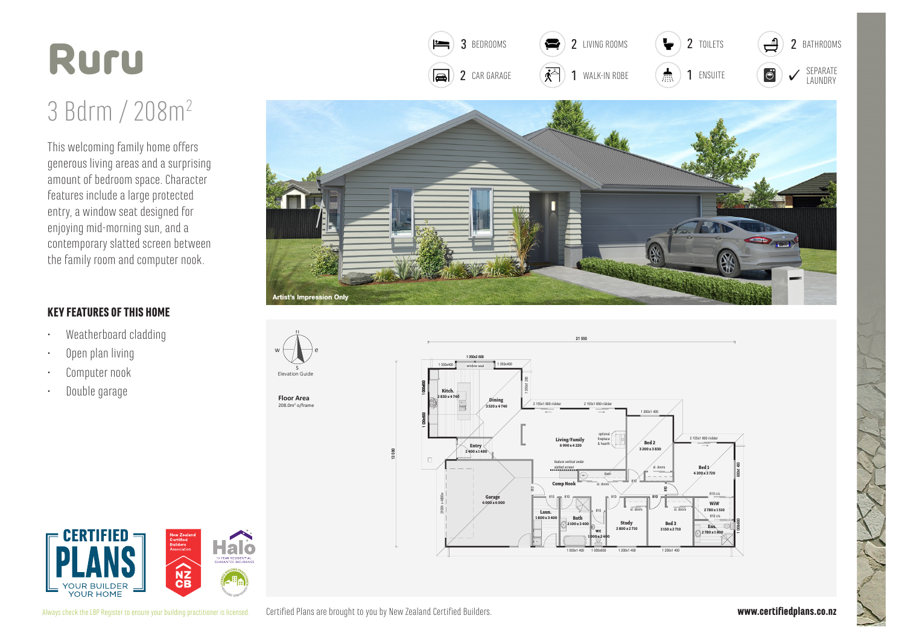## Ruru

## 3 Bdrm / 208m<sup>2</sup>

This welcoming family home offers generous living areas and a surprising amount of bedroom space. Character features include a large protected entry, a window seat designed for enjoying mid-morning sun, and a contemporary slatted screen between the family room and computer nook.

## **KEY FEATURES OF THIS HOME**

- Weatherboard cladding
- Open plan living
- Computer nook
- Double garage



 $\bullet$ 

3 BEDROOMS

 $\equiv$ 

2 LIVING ROOMS

 $\blacktriangleright$ 

2 TOILETS

 $\overline{2}$ 

BATHROOMS



**Floor Area**  $208.0m<sup>2</sup>$  o/frame



21 550





Certified Plans are brought to you by New Zealand Certified Builders. Always check the LBP Register to ensure your building practitioner is licensed.